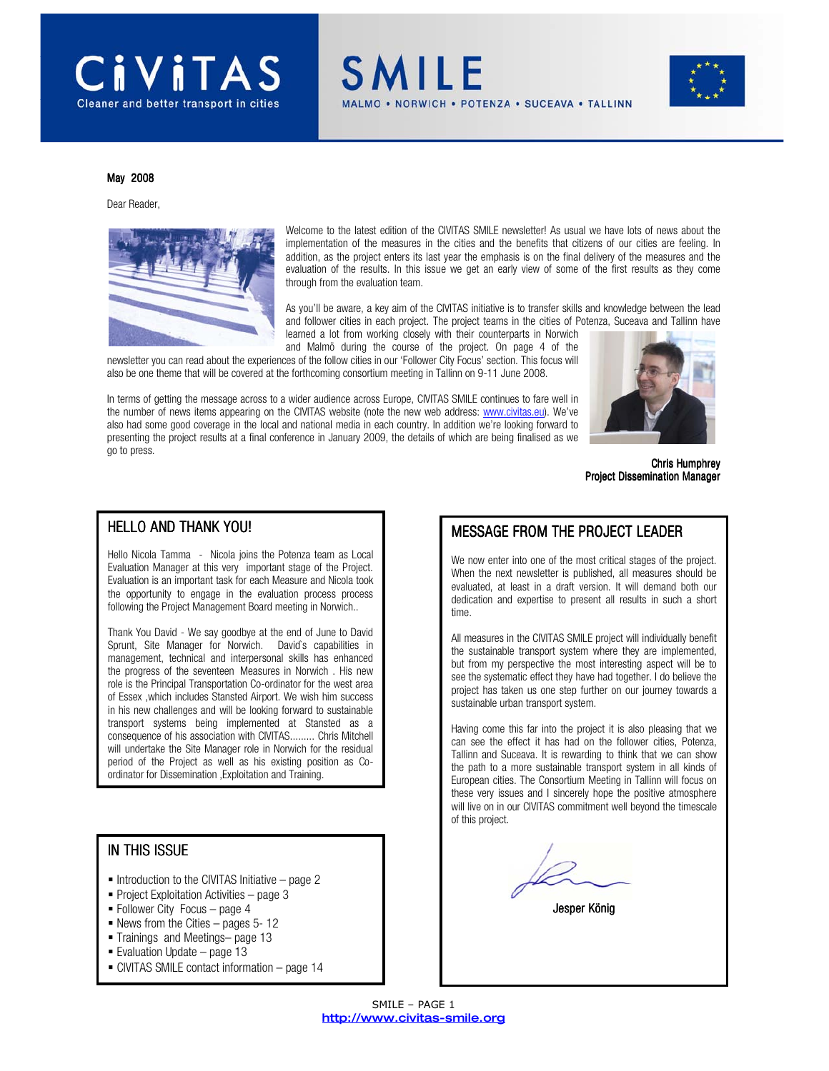

SMILE **IORWICH • POTENZA • SUCEAVA • TALLINN** 



#### May 2008

Dear Reader,



Welcome to the latest edition of the CIVITAS SMILE newsletter! As usual we have lots of news about the implementation of the measures in the cities and the benefits that citizens of our cities are feeling. In addition, as the project enters its last year the emphasis is on the final delivery of the measures and the evaluation of the results. In this issue we get an early view of some of the first results as they come through from the evaluation team.

As you'll be aware, a key aim of the CIVITAS initiative is to transfer skills and knowledge between the lead and follower cities in each project. The project teams in the cities of Potenza, Suceava and Tallinn have learned a lot from working closely with their counterparts in Norwich

and Malmö during the course of the project. On page 4 of the newsletter you can read about the experiences of the follow cities in our 'Follower City Focus' section. This focus will also be one theme that will be covered at the forthcoming consortium meeting in Tallinn on 9-11 June 2008.

In terms of getting the message across to a wider audience across Europe, CIVITAS SMILE continues to fare well in the number of news items appearing on the CIVITAS website (note the new web address: www.civitas.eu). We've also had some good coverage in the local and national media in each country. In addition we're looking forward to presenting the project results at a final conference in January 2009, the details of which are being finalised as we go to press.



Chris Humphrey Project Dissemination Manager

#### HELLO AND THANK YOU!

Hello Nicola Tamma - Nicola joins the Potenza team as Local Evaluation Manager at this very important stage of the Project. Evaluation is an important task for each Measure and Nicola took the opportunity to engage in the evaluation process process following the Project Management Board meeting in Norwich..

Thank You David - We say goodbye at the end of June to David Sprunt, Site Manager for Norwich. David`s capabilities in management, technical and interpersonal skills has enhanced the progress of the seventeen Measures in Norwich . His new role is the Principal Transportation Co-ordinator for the west area of Essex ,which includes Stansted Airport. We wish him success in his new challenges and will be looking forward to sustainable transport systems being implemented at Stansted as a consequence of his association with CIVITAS......... Chris Mitchell will undertake the Site Manager role in Norwich for the residual period of the Project as well as his existing position as Coordinator for Dissemination ,Exploitation and Training.

#### IN THIS ISSUE

- $\blacksquare$  Introduction to the CIVITAS Initiative page 2
- Project Exploitation Activities page  $3$
- Follower City Focus page 4
- News from the Cities pages 5- 12
- Trainings and Meetings– page 13
- Evaluation Update page 13
- CIVITAS SMILE contact information page 14

#### MESSAGE FROM THE PROJECT LEADER

We now enter into one of the most critical stages of the project. When the next newsletter is published, all measures should be evaluated, at least in a draft version. It will demand both our dedication and expertise to present all results in such a short time.

All measures in the CIVITAS SMILE project will individually benefit the sustainable transport system where they are implemented, but from my perspective the most interesting aspect will be to see the systematic effect they have had together. I do believe the project has taken us one step further on our journey towards a sustainable urban transport system.

Having come this far into the project it is also pleasing that we can see the effect it has had on the follower cities, Potenza, Tallinn and Suceava. It is rewarding to think that we can show the path to a more sustainable transport system in all kinds of European cities. The Consortium Meeting in Tallinn will focus on these very issues and I sincerely hope the positive atmosphere will live on in our CIVITAS commitment well beyond the timescale of this project.

Jesper König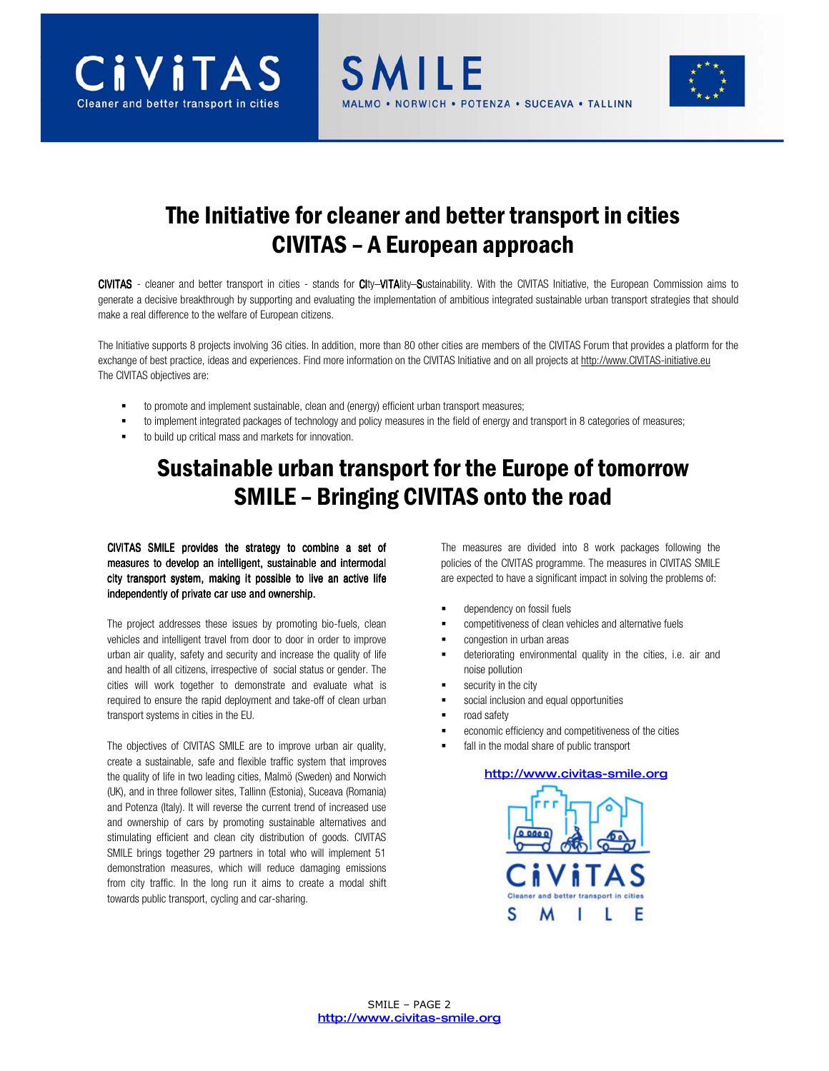



# The Initiative for cleaner and better transport in cities CIVITAS – A European approach

**SMILE** 

CIVITAS - cleaner and better transport in cities - stands for CIty–VITAlity–Sustainability. With the CIVITAS Initiative, the European Commission aims to generate a decisive breakthrough by supporting and evaluating the implementation of ambitious integrated sustainable urban transport strategies that should make a real difference to the welfare of European citizens.

The Initiative supports 8 projects involving 36 cities. In addition, more than 80 other cities are members of the CIVITAS Forum that provides a platform for the exchange of best practice, ideas and experiences. Find more information on the CIVITAS Initiative and on all projects at http://www.CIVITAS-initiative.eu The CIVITAS objectives are:

- to promote and implement sustainable, clean and (energy) efficient urban transport measures;
- to implement integrated packages of technology and policy measures in the field of energy and transport in 8 categories of measures;
- to build up critical mass and markets for innovation.

# Sustainable urban transport for the Europe of tomorrow SMILE – Bringing CIVITAS onto the road

CIVITAS SMILE provides the strategy to combine a set of measures to develop an intelligent, sustainable and intermodal city transport system, making it possible to live an active life independently of private car use and ownership.

The project addresses these issues by promoting bio-fuels, clean vehicles and intelligent travel from door to door in order to improve urban air quality, safety and security and increase the quality of life and health of all citizens, irrespective of social status or gender. The cities will work together to demonstrate and evaluate what is required to ensure the rapid deployment and take-off of clean urban transport systems in cities in the EU.

The objectives of CIVITAS SMILE are to improve urban air quality, create a sustainable, safe and flexible traffic system that improves the quality of life in two leading cities, Malmö (Sweden) and Norwich (UK), and in three follower sites, Tallinn (Estonia), Suceava (Romania) and Potenza (Italy). It will reverse the current trend of increased use and ownership of cars by promoting sustainable alternatives and stimulating efficient and clean city distribution of goods. CIVITAS SMILE brings together 29 partners in total who will implement 51 demonstration measures, which will reduce damaging emissions from city traffic. In the long run it aims to create a modal shift towards public transport, cycling and car-sharing.

The measures are divided into 8 work packages following the policies of the CIVITAS programme. The measures in CIVITAS SMILE are expected to have a significant impact in solving the problems of:

- dependency on fossil fuels
- competitiveness of clean vehicles and alternative fuels
- congestion in urban areas
- deteriorating environmental quality in the cities, i.e. air and noise pollution
- security in the city
- social inclusion and equal opportunities
- road safety
- economic efficiency and competitiveness of the cities
- fall in the modal share of public transport

#### http://www.civitas-smile.org

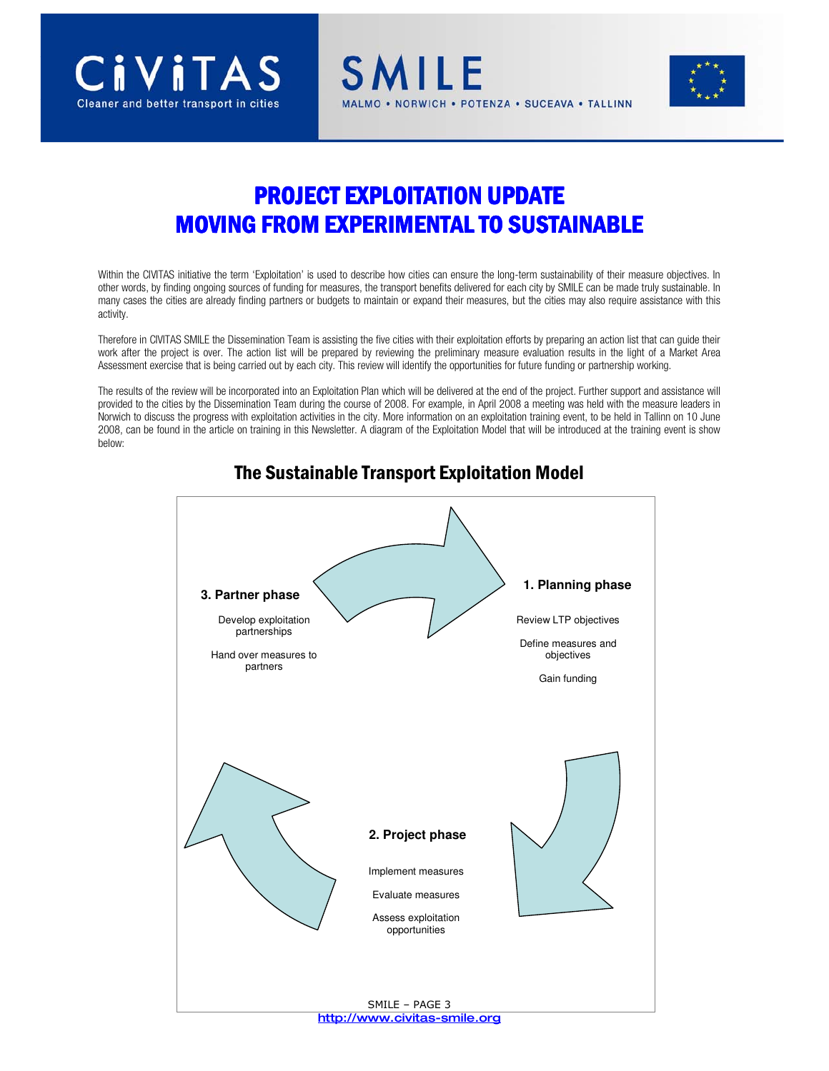



# PROJECT EXPLOITATION UPDATE **MOVING FROM EXPERIMENTAL TO SUSTAINABLE**

SMILE

NORWICH . POTENZA . SUCEAVA . TALLINN

Within the CIVITAS initiative the term 'Exploitation' is used to describe how cities can ensure the long-term sustainability of their measure objectives. In other words, by finding ongoing sources of funding for measures, the transport benefits delivered for each city by SMILE can be made truly sustainable. In many cases the cities are already finding partners or budgets to maintain or expand their measures, but the cities may also require assistance with this activity.

Therefore in CIVITAS SMILE the Dissemination Team is assisting the five cities with their exploitation efforts by preparing an action list that can guide their work after the project is over. The action list will be prepared by reviewing the preliminary measure evaluation results in the light of a Market Area Assessment exercise that is being carried out by each city. This review will identify the opportunities for future funding or partnership working.

The results of the review will be incorporated into an Exploitation Plan which will be delivered at the end of the project. Further support and assistance will provided to the cities by the Dissemination Team during the course of 2008. For example, in April 2008 a meeting was held with the measure leaders in Norwich to discuss the progress with exploitation activities in the city. More information on an exploitation training event, to be held in Tallinn on 10 June 2008, can be found in the article on training in this Newsletter. A diagram of the Exploitation Model that will be introduced at the training event is show below:



## The Sustainable Transport Exploitation Model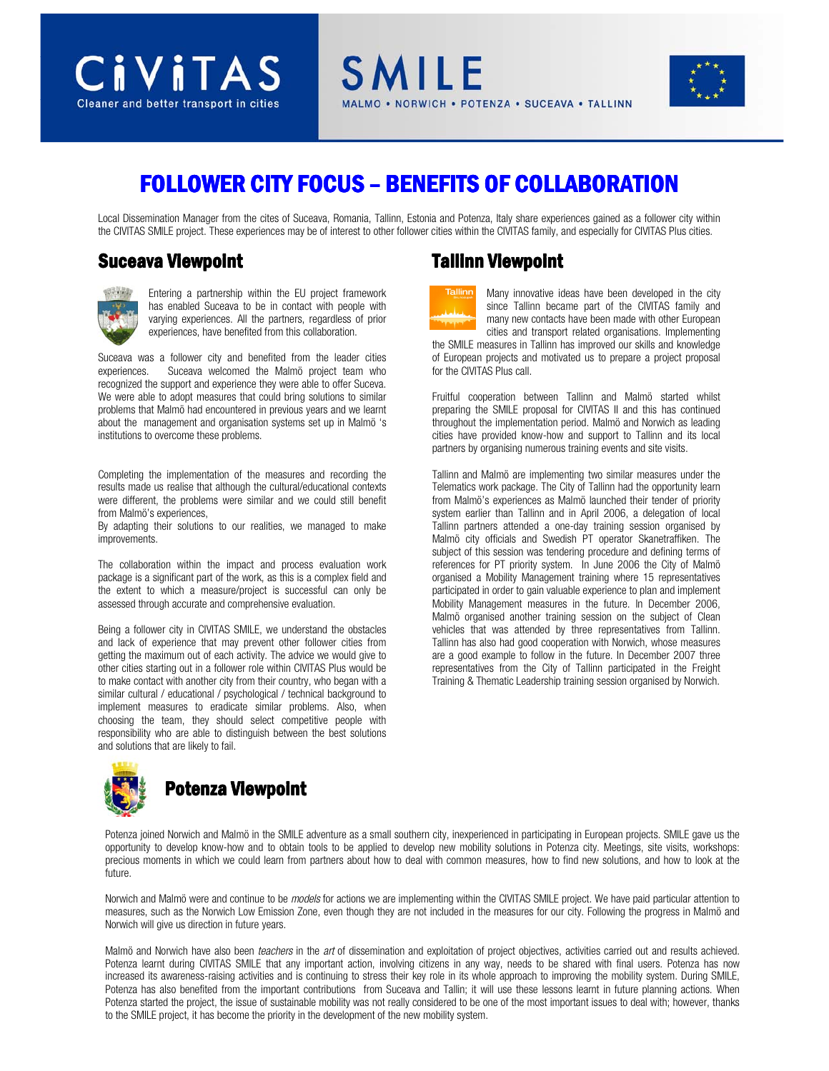



# FOLLOWER CITY FOCUS – BENEFITS OF COLLABORATION

Local Dissemination Manager from the cites of Suceava, Romania, Tallinn, Estonia and Potenza, Italy share experiences gained as a follower city within the CIVITAS SMILE project. These experiences may be of interest to other follower cities within the CIVITAS family, and especially for CIVITAS Plus cities.

#### **Suceava Viewpoint**



Entering a partnership within the EU project framework has enabled Suceava to be in contact with people with varying experiences. All the partners, regardless of prior experiences, have benefited from this collaboration.

Suceava was a follower city and benefited from the leader cities experiences. Suceava welcomed the Malmö project team who recognized the support and experience they were able to offer Suceva. We were able to adopt measures that could bring solutions to similar problems that Malmö had encountered in previous years and we learnt about the management and organisation systems set up in Malmö 's institutions to overcome these problems.

Completing the implementation of the measures and recording the results made us realise that although the cultural/educational contexts were different, the problems were similar and we could still benefit from Malmö's experiences,

By adapting their solutions to our realities, we managed to make improvements.

The collaboration within the impact and process evaluation work package is a significant part of the work, as this is a complex field and the extent to which a measure/project is successful can only be assessed through accurate and comprehensive evaluation.

Being a follower city in CIVITAS SMILE, we understand the obstacles and lack of experience that may prevent other follower cities from getting the maximum out of each activity. The advice we would give to other cities starting out in a follower role within CIVITAS Plus would be to make contact with another city from their country, who began with a similar cultural / educational / psychological / technical background to implement measures to eradicate similar problems. Also, when choosing the team, they should select competitive people with responsibility who are able to distinguish between the best solutions and solutions that are likely to fail.



#### Potenza joined Norwich and Malmö in the SMILE adventure as a small southern city, inexperienced in participating in European projects. SMILE gave us the opportunity to develop know-how and to obtain tools to be applied to develop new mobility solutions in Potenza city. Meetings, site visits, workshops: precious moments in which we could learn from partners about how to deal with common measures, how to find new solutions, and how to look at the future.

Norwich and Malmö were and continue to be models for actions we are implementing within the CIVITAS SMILE project. We have paid particular attention to measures, such as the Norwich Low Emission Zone, even though they are not included in the measures for our city. Following the progress in Malmö and Norwich will give us direction in future years.

Potenza started the project, the issue of sustainable mobility was not really considered to be one of the most important issues to deal with; however, thanks to the SMILE project, it has become the priority in the development of the new mobility system. Malmö and Norwich have also been teachers in the art of dissemination and exploitation of project objectives, activities carried out and results achieved. Potenza learnt during CIVITAS SMILE that any important action, involving citizens in any way, needs to be shared with final users. Potenza has now increased its awareness-raising activities and is continuing to stress their key role in its whole approach to improving the mobility system. During SMILE, Potenza has also benefited from the important contributions from Suceava and Tallin; it will use these lessons learnt in future planning actions. When

# Tallinn Viewpoint



Many innovative ideas have been developed in the city since Tallinn became part of the CIVITAS family and many new contacts have been made with other European cities and transport related organisations. Implementing

the SMILE measures in Tallinn has improved our skills and knowledge of European projects and motivated us to prepare a project proposal for the CIVITAS Plus call.

Fruitful cooperation between Tallinn and Malmö started whilst preparing the SMILE proposal for CIVITAS II and this has continued throughout the implementation period. Malmö and Norwich as leading cities have provided know-how and support to Tallinn and its local partners by organising numerous training events and site visits.

Tallinn and Malmö are implementing two similar measures under the Telematics work package. The City of Tallinn had the opportunity learn from Malmö's experiences as Malmö launched their tender of priority system earlier than Tallinn and in April 2006, a delegation of local Tallinn partners attended a one-day training session organised by Malmö city officials and Swedish PT operator Skanetraffiken. The subject of this session was tendering procedure and defining terms of references for PT priority system. In June 2006 the City of Malmö organised a Mobility Management training where 15 representatives participated in order to gain valuable experience to plan and implement Mobility Management measures in the future. In December 2006, Malmö organised another training session on the subject of Clean vehicles that was attended by three representatives from Tallinn. Tallinn has also had good cooperation with Norwich, whose measures are a good example to follow in the future. In December 2007 three representatives from the City of Tallinn participated in the Freight Training & Thematic Leadership training session organised by Norwich.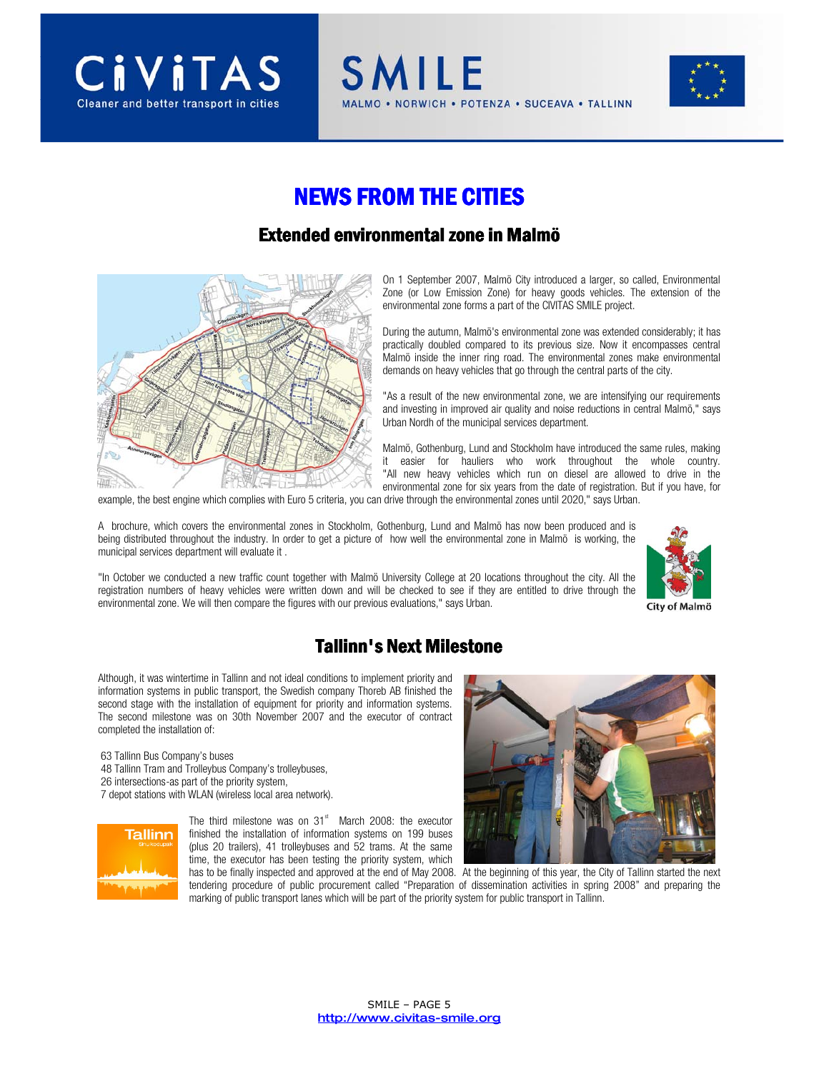



# **NEWS FROM THE CITIES**

**SMILE** 

#### Extended environmental zone in Malmö



On 1 September 2007, Malmö City introduced a larger, so called, Environmental Zone (or Low Emission Zone) for heavy goods vehicles. The extension of the environmental zone forms a part of the CIVITAS SMILE project.

NORWICH . POTENZA . SUCEAVA . TALLINN

During the autumn, Malmö's environmental zone was extended considerably; it has practically doubled compared to its previous size. Now it encompasses central Malmö inside the inner ring road. The environmental zones make environmental demands on heavy vehicles that go through the central parts of the city.

"As a result of the new environmental zone, we are intensifying our requirements and investing in improved air quality and noise reductions in central Malmö," says Urban Nordh of the municipal services department.

Malmö, Gothenburg, Lund and Stockholm have introduced the same rules, making it easier for hauliers who work throughout the whole country. "All new heavy vehicles which run on diesel are allowed to drive in the environmental zone for six years from the date of registration. But if you have, for

example, the best engine which complies with Euro 5 criteria, you can drive through the environmental zones until 2020," says Urban.

A brochure, which covers the environmental zones in Stockholm, Gothenburg, Lund and Malmö has now been produced and is being distributed throughout the industry. In order to get a picture of how well the environmental zone in Malmö is working, the municipal services department will evaluate it .

"In October we conducted a new traffic count together with Malmö University College at 20 locations throughout the city. All the registration numbers of heavy vehicles were written down and will be checked to see if they are entitled to drive through the environmental zone. We will then compare the figures with our previous evaluations," says Urban.



City of Malmö

### Tallinn's Next Milestone

Although, it was wintertime in Tallinn and not ideal conditions to implement priority and information systems in public transport, the Swedish company Thoreb AB finished the second stage with the installation of equipment for priority and information systems. The second milestone was on 30th November 2007 and the executor of contract completed the installation of:

 63 Tallinn Bus Company's buses 48 Tallinn Tram and Trolleybus Company's trolleybuses, 26 intersections-as part of the priority system,

7 depot stations with WLAN (wireless local area network).



The third milestone was on  $31<sup>st</sup>$  March 2008: the executor finished the installation of information systems on 199 buses (plus 20 trailers), 41 trolleybuses and 52 trams. At the same time, the executor has been testing the priority system, which



has to be finally inspected and approved at the end of May 2008. At the beginning of this year, the City of Tallinn started the next tendering procedure of public procurement called "Preparation of dissemination activities in spring 2008" and preparing the marking of public transport lanes which will be part of the priority system for public transport in Tallinn.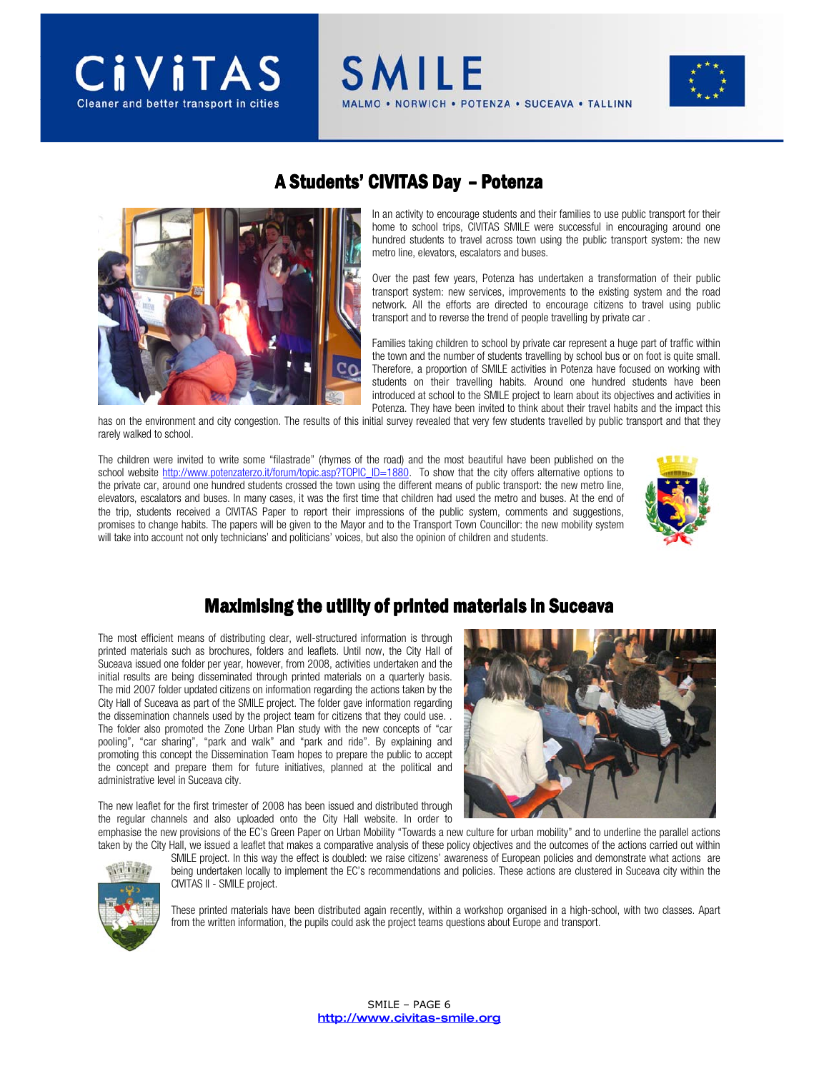

### A Students' CIVITAS Day - Potenza

**SMILE** 



In an activity to encourage students and their families to use public transport for their home to school trips, CIVITAS SMILE were successful in encouraging around one hundred students to travel across town using the public transport system: the new metro line, elevators, escalators and buses.

NORWICH . POTENZA . SUCEAVA . TALLINN

Over the past few years, Potenza has undertaken a transformation of their public transport system: new services, improvements to the existing system and the road network. All the efforts are directed to encourage citizens to travel using public transport and to reverse the trend of people travelling by private car .

Families taking children to school by private car represent a huge part of traffic within the town and the number of students travelling by school bus or on foot is quite small. Therefore, a proportion of SMILE activities in Potenza have focused on working with students on their travelling habits. Around one hundred students have been introduced at school to the SMILE project to learn about its objectives and activities in Potenza. They have been invited to think about their travel habits and the impact this

has on the environment and city congestion. The results of this initial survey revealed that very few students travelled by public transport and that they rarely walked to school.

The children were invited to write some "filastrade" (rhymes of the road) and the most beautiful have been published on the school website http://www.potenzaterzo.it/forum/topic.asp?TOPIC\_ID=1880. To show that the city offers alternative options to the private car, around one hundred students crossed the town using the different means of public transport: the new metro line, elevators, escalators and buses. In many cases, it was the first time that children had used the metro and buses. At the end of the trip, students received a CIVITAS Paper to report their impressions of the public system, comments and suggestions, promises to change habits. The papers will be given to the Mayor and to the Transport Town Councillor: the new mobility system will take into account not only technicians' and politicians' voices, but also the opinion of children and students.



### Maximising the utility of printed materials in Suceava

The most efficient means of distributing clear, well-structured information is through printed materials such as brochures, folders and leaflets. Until now, the City Hall of Suceava issued one folder per year, however, from 2008, activities undertaken and the initial results are being disseminated through printed materials on a quarterly basis. The mid 2007 folder updated citizens on information regarding the actions taken by the City Hall of Suceava as part of the SMILE project. The folder gave information regarding the dissemination channels used by the project team for citizens that they could use. . The folder also promoted the Zone Urban Plan study with the new concepts of "car pooling", "car sharing", "park and walk" and "park and ride". By explaining and promoting this concept the Dissemination Team hopes to prepare the public to accept the concept and prepare them for future initiatives, planned at the political and administrative level in Suceava city.



The new leaflet for the first trimester of 2008 has been issued and distributed through the regular channels and also uploaded onto the City Hall website. In order to

emphasise the new provisions of the EC's Green Paper on Urban Mobility "Towards a new culture for urban mobility" and to underline the parallel actions taken by the City Hall, we issued a leaflet that makes a comparative analysis of these policy objectives and the outcomes of the actions carried out within SMILE project. In this way the effect is doubled: we raise citizens' awareness of European policies and demonstrate what actions are being undertaken locally to implement the EC's recommendations and policies. These actions are clustered in Suceava city within the CIVITAS II - SMILE project.



These printed materials have been distributed again recently, within a workshop organised in a high-school, with two classes. Apart from the written information, the pupils could ask the project teams questions about Europe and transport.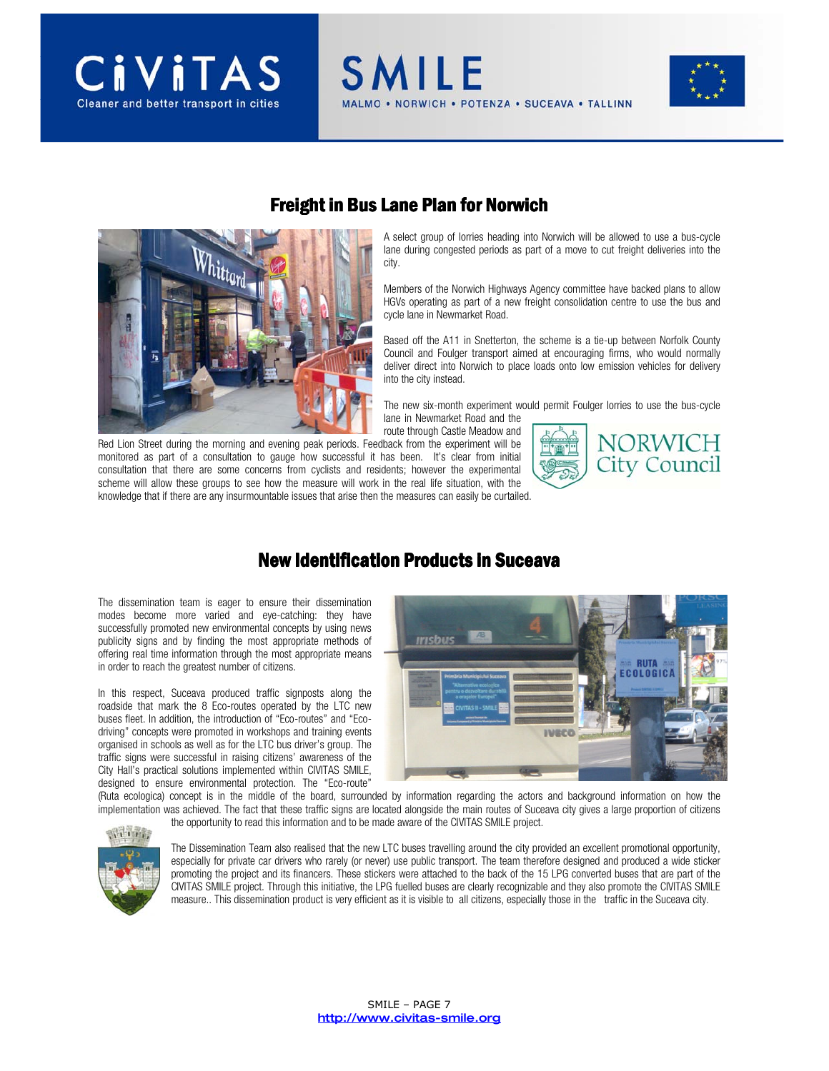





### Freight in Bus Lane Plan for Norwich

**SMILE** 

A select group of lorries heading into Norwich will be allowed to use a bus-cycle lane during congested periods as part of a move to cut freight deliveries into the city.

NORWICH . POTENZA . SUCEAVA . TALLINN

Members of the Norwich Highways Agency committee have backed plans to allow HGVs operating as part of a new freight consolidation centre to use the bus and cycle lane in Newmarket Road.

Based off the A11 in Snetterton, the scheme is a tie-up between Norfolk County Council and Foulger transport aimed at encouraging firms, who would normally deliver direct into Norwich to place loads onto low emission vehicles for delivery into the city instead.

The new six-month experiment would permit Foulger lorries to use the bus-cycle lane in Newmarket Road and the

route through Castle Meadow and Red Lion Street during the morning and evening peak periods. Feedback from the experiment will be monitored as part of a consultation to gauge how successful it has been. It's clear from initial consultation that there are some concerns from cyclists and residents; however the experimental scheme will allow these groups to see how the measure will work in the real life situation, with the knowledge that if there are any insurmountable issues that arise then the measures can easily be curtailed.



### New Identification Products in Suceava

The dissemination team is eager to ensure their dissemination modes become more varied and eye-catching: they have successfully promoted new environmental concepts by using news publicity signs and by finding the most appropriate methods of offering real time information through the most appropriate means in order to reach the greatest number of citizens.

In this respect, Suceava produced traffic signposts along the roadside that mark the 8 Eco-routes operated by the LTC new buses fleet. In addition, the introduction of "Eco-routes" and "Ecodriving" concepts were promoted in workshops and training events organised in schools as well as for the LTC bus driver's group. The traffic signs were successful in raising citizens' awareness of the City Hall's practical solutions implemented within CIVITAS SMILE, designed to ensure environmental protection. The "Eco-route"



(Ruta ecologica) concept is in the middle of the board, surrounded by information regarding the actors and background information on how the implementation was achieved. The fact that these traffic signs are located alongside the main routes of Suceava city gives a large proportion of citizens the opportunity to read this information and to be made aware of the CIVITAS SMILE project.



The Dissemination Team also realised that the new LTC buses travelling around the city provided an excellent promotional opportunity, especially for private car drivers who rarely (or never) use public transport. The team therefore designed and produced a wide sticker promoting the project and its financers. These stickers were attached to the back of the 15 LPG converted buses that are part of the CIVITAS SMILE project. Through this initiative, the LPG fuelled buses are clearly recognizable and they also promote the CIVITAS SMILE measure.. This dissemination product is very efficient as it is visible to all citizens, especially those in the traffic in the Suceava city.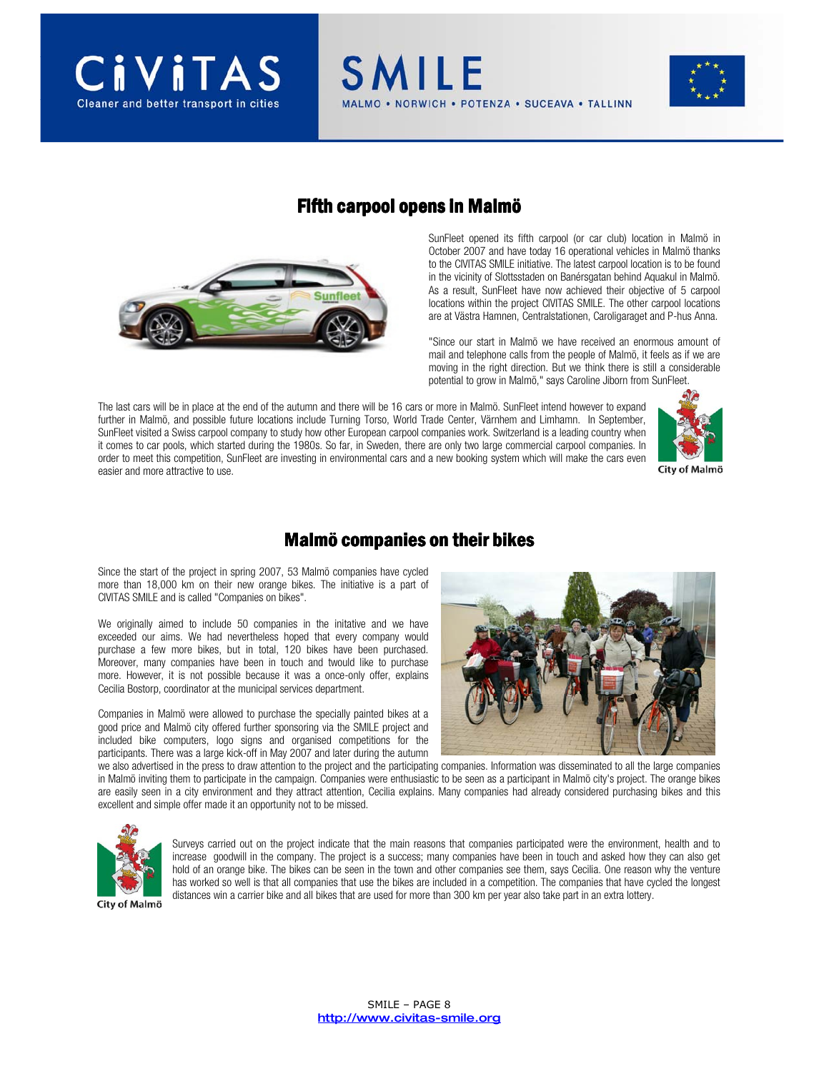



#### Fifth carpool opens in Malmö

**SMILE** 



SunFleet opened its fifth carpool (or car club) location in Malmö in October 2007 and have today 16 operational vehicles in Malmö thanks to the CIVITAS SMILE initiative. The latest carpool location is to be found in the vicinity of Slottsstaden on Banérsgatan behind Aquakul in Malmö. As a result, SunFleet have now achieved their objective of 5 carpool locations within the project CIVITAS SMILE. The other carpool locations are at Västra Hamnen, Centralstationen, Caroligaraget and P-hus Anna.

NORWICH . POTENZA . SUCEAVA . TALLINN

"Since our start in Malmö we have received an enormous amount of mail and telephone calls from the people of Malmö, it feels as if we are moving in the right direction. But we think there is still a considerable potential to grow in Malmö," says Caroline Jiborn from SunFleet.

The last cars will be in place at the end of the autumn and there will be 16 cars or more in Malmö. SunFleet intend however to expand further in Malmö, and possible future locations include Turning Torso, World Trade Center, Värnhem and Limhamn. In September, SunFleet visited a Swiss carpool company to study how other European carpool companies work. Switzerland is a leading country when it comes to car pools, which started during the 1980s. So far, in Sweden, there are only two large commercial carpool companies. In order to meet this competition, SunFleet are investing in environmental cars and a new booking system which will make the cars even easier and more attractive to use.



City of Malmö

#### Malmö companies on their bikes

Since the start of the project in spring 2007, 53 Malmö companies have cycled more than 18,000 km on their new orange bikes. The initiative is a part of CIVITAS SMILE and is called "Companies on bikes".

We originally aimed to include 50 companies in the initative and we have exceeded our aims. We had nevertheless hoped that every company would purchase a few more bikes, but in total, 120 bikes have been purchased. Moreover, many companies have been in touch and twould like to purchase more. However, it is not possible because it was a once-only offer, explains Cecilia Bostorp, coordinator at the municipal services department.

Companies in Malmö were allowed to purchase the specially painted bikes at a good price and Malmö city offered further sponsoring via the SMILE project and included bike computers, logo signs and organised competitions for the participants. There was a large kick-off in May 2007 and later during the autumn



we also advertised in the press to draw attention to the project and the participating companies. Information was disseminated to all the large companies in Malmö inviting them to participate in the campaign. Companies were enthusiastic to be seen as a participant in Malmö city's project. The orange bikes are easily seen in a city environment and they attract attention, Cecilia explains. Many companies had already considered purchasing bikes and this excellent and simple offer made it an opportunity not to be missed.



Surveys carried out on the project indicate that the main reasons that companies participated were the environment, health and to increase goodwill in the company. The project is a success; many companies have been in touch and asked how they can also get hold of an orange bike. The bikes can be seen in the town and other companies see them, says Cecilia. One reason why the venture has worked so well is that all companies that use the bikes are included in a competition. The companies that have cycled the longest distances win a carrier bike and all bikes that are used for more than 300 km per year also take part in an extra lottery.

City of Malmö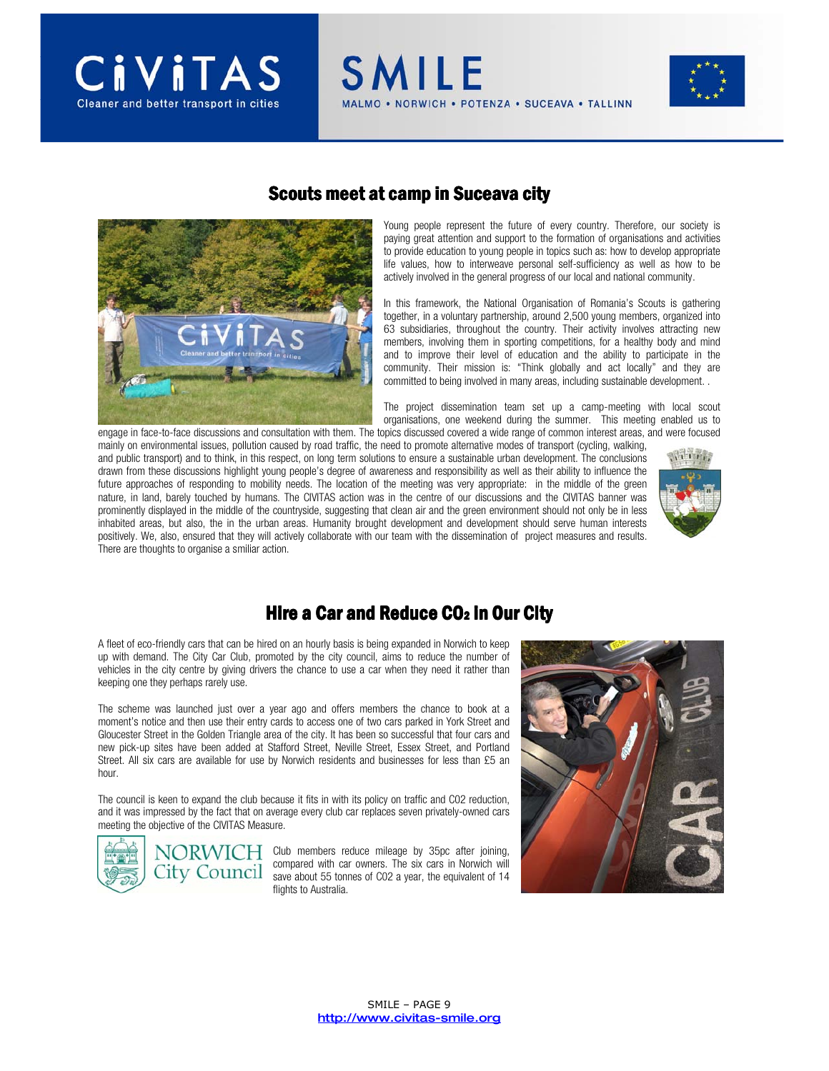





#### Scouts meet at camp in Suceava city

**SMILE** 

Young people represent the future of every country. Therefore, our society is paying great attention and support to the formation of organisations and activities to provide education to young people in topics such as: how to develop appropriate life values, how to interweave personal self-sufficiency as well as how to be actively involved in the general progress of our local and national community.

NORWICH . POTENZA . SUCEAVA . TALLINN

In this framework, the National Organisation of Romania's Scouts is gathering together, in a voluntary partnership, around 2,500 young members, organized into 63 subsidiaries, throughout the country. Their activity involves attracting new members, involving them in sporting competitions, for a healthy body and mind and to improve their level of education and the ability to participate in the community. Their mission is: "Think globally and act locally" and they are committed to being involved in many areas, including sustainable development. .

The project dissemination team set up a camp-meeting with local scout organisations, one weekend during the summer. This meeting enabled us to engage in face-to-face discussions and consultation with them. The topics discussed covered a wide range of common interest areas, and were focused

mainly on environmental issues, pollution caused by road traffic, the need to promote alternative modes of transport (cycling, walking, and public transport) and to think, in this respect, on long term solutions to ensure a sustainable urban development. The conclusions drawn from these discussions highlight young people's degree of awareness and responsibility as well as their ability to influence the future approaches of responding to mobility needs. The location of the meeting was very appropriate: in the middle of the green nature, in land, barely touched by humans. The CIVITAS action was in the centre of our discussions and the CIVITAS banner was prominently displayed in the middle of the countryside, suggesting that clean air and the green environment should not only be in less inhabited areas, but also, the in the urban areas. Humanity brought development and development should serve human interests positively. We, also, ensured that they will actively collaborate with our team with the dissemination of project measures and results. There are thoughts to organise a smiliar action.



### Hire a Car and Reduce  $CO<sub>2</sub>$  in Our City

A fleet of eco-friendly cars that can be hired on an hourly basis is being expanded in Norwich to keep up with demand. The City Car Club, promoted by the city council, aims to reduce the number of vehicles in the city centre by giving drivers the chance to use a car when they need it rather than keeping one they perhaps rarely use.

The scheme was launched just over a year ago and offers members the chance to book at a moment's notice and then use their entry cards to access one of two cars parked in York Street and Gloucester Street in the Golden Triangle area of the city. It has been so successful that four cars and new pick-up sites have been added at Stafford Street, Neville Street, Essex Street, and Portland Street. All six cars are available for use by Norwich residents and businesses for less than £5 an hour.

The council is keen to expand the club because it fits in with its policy on traffic and C02 reduction, and it was impressed by the fact that on average every club car replaces seven privately-owned cars meeting the objective of the CIVITAS Measure.



NORWICH Club members reduce mileage by 35pc after joining, compared with car owners. The six cars in Norwich will save about 55 tonnes of C02 a year, the equivalent of 14 flights to Australia.

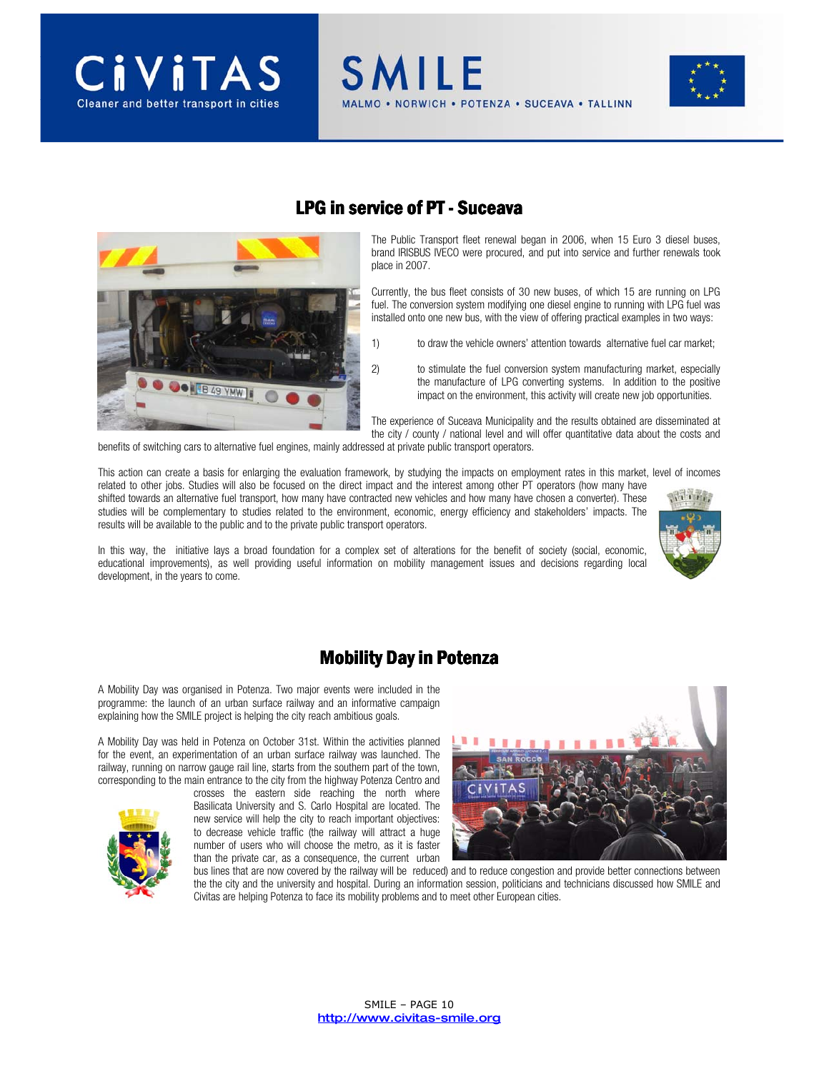





### LPG in service of PT - Suceava

**SMILE** 

The Public Transport fleet renewal began in 2006, when 15 Euro 3 diesel buses, brand IRISBUS IVECO were procured, and put into service and further renewals took place in 2007.

NORWICH . POTENZA . SUCEAVA . TALLINN

Currently, the bus fleet consists of 30 new buses, of which 15 are running on LPG fuel. The conversion system modifying one diesel engine to running with LPG fuel was installed onto one new bus, with the view of offering practical examples in two ways:

- 1) to draw the vehicle owners' attention towards alternative fuel car market;
- 2) to stimulate the fuel conversion system manufacturing market, especially the manufacture of LPG converting systems. In addition to the positive impact on the environment, this activity will create new job opportunities.

The experience of Suceava Municipality and the results obtained are disseminated at the city / county / national level and will offer quantitative data about the costs and

benefits of switching cars to alternative fuel engines, mainly addressed at private public transport operators.

This action can create a basis for enlarging the evaluation framework, by studying the impacts on employment rates in this market, level of incomes

related to other jobs. Studies will also be focused on the direct impact and the interest among other PT operators (how many have shifted towards an alternative fuel transport, how many have contracted new vehicles and how many have chosen a converter). These studies will be complementary to studies related to the environment, economic, energy efficiency and stakeholders' impacts. The results will be available to the public and to the private public transport operators.



In this way, the initiative lays a broad foundation for a complex set of alterations for the benefit of society (social, economic, educational improvements), as well providing useful information on mobility management issues and decisions regarding local development, in the years to come.

### **Mobility Day in Potenza**

A Mobility Day was organised in Potenza. Two major events were included in the programme: the launch of an urban surface railway and an informative campaign explaining how the SMILE project is helping the city reach ambitious goals.

A Mobility Day was held in Potenza on October 31st. Within the activities planned for the event, an experimentation of an urban surface railway was launched. The railway, running on narrow gauge rail line, starts from the southern part of the town, corresponding to the main entrance to the city from the highway Potenza Centro and

> crosses the eastern side reaching the north where Basilicata University and S. Carlo Hospital are located. The new service will help the city to reach important objectives: to decrease vehicle traffic (the railway will attract a huge number of users who will choose the metro, as it is faster than the private car, as a consequence, the current urban



bus lines that are now covered by the railway will be reduced) and to reduce congestion and provide better connections between the the city and the university and hospital. During an information session, politicians and technicians discussed how SMILE and Civitas are helping Potenza to face its mobility problems and to meet other European cities.

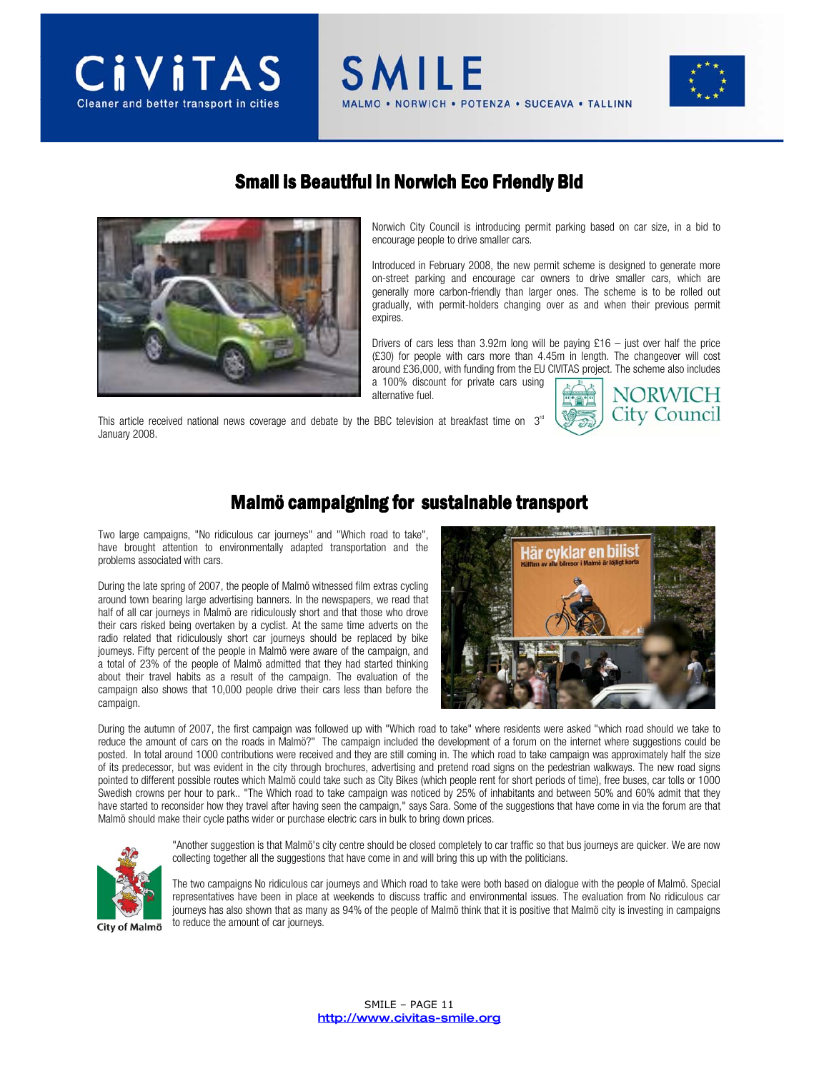

### Small is Beautiful in Norwich Eco Friendly Bid

**SMILE** 



Norwich City Council is introducing permit parking based on car size, in a bid to encourage people to drive smaller cars.

NORWICH . POTENZA . SUCEAVA . TALLINN

Introduced in February 2008, the new permit scheme is designed to generate more on-street parking and encourage car owners to drive smaller cars, which are generally more carbon-friendly than larger ones. The scheme is to be rolled out gradually, with permit-holders changing over as and when their previous permit expires.

Drivers of cars less than 3.92m long will be paying  $£16 -$  just over half the price (£30) for people with cars more than 4.45m in length. The changeover will cost around £36,000, with funding from the EU CIVITAS project. The scheme also includes a 100% discount for private cars using

This article received national news coverage and debate by the BBC television at breakfast time on  $3<sup>rd</sup>$ January 2008.



#### Malmö campaigning for sustainable transport

alternative fuel.

Two large campaigns, "No ridiculous car journeys" and "Which road to take", have brought attention to environmentally adapted transportation and the problems associated with cars.

During the late spring of 2007, the people of Malmö witnessed film extras cycling around town bearing large advertising banners. In the newspapers, we read that half of all car journeys in Malmö are ridiculously short and that those who drove their cars risked being overtaken by a cyclist. At the same time adverts on the radio related that ridiculously short car journeys should be replaced by bike journeys. Fifty percent of the people in Malmö were aware of the campaign, and a total of 23% of the people of Malmö admitted that they had started thinking about their travel habits as a result of the campaign. The evaluation of the campaign also shows that 10,000 people drive their cars less than before the campaign.



During the autumn of 2007, the first campaign was followed up with "Which road to take" where residents were asked "which road should we take to reduce the amount of cars on the roads in Malmö?" The campaign included the development of a forum on the internet where suggestions could be posted. In total around 1000 contributions were received and they are still coming in. The which road to take campaign was approximately half the size of its predecessor, but was evident in the city through brochures, advertising and pretend road signs on the pedestrian walkways. The new road signs pointed to different possible routes which Malmö could take such as City Bikes (which people rent for short periods of time), free buses, car tolls or 1000 Swedish crowns per hour to park.. "The Which road to take campaign was noticed by 25% of inhabitants and between 50% and 60% admit that they have started to reconsider how they travel after having seen the campaign," says Sara. Some of the suggestions that have come in via the forum are that Malmö should make their cycle paths wider or purchase electric cars in bulk to bring down prices.



"Another suggestion is that Malmö's city centre should be closed completely to car traffic so that bus journeys are quicker. We are now collecting together all the suggestions that have come in and will bring this up with the politicians.

The two campaigns No ridiculous car journeys and Which road to take were both based on dialogue with the people of Malmö. Special representatives have been in place at weekends to discuss traffic and environmental issues. The evaluation from No ridiculous car journeys has also shown that as many as 94% of the people of Malmö think that it is positive that Malmö city is investing in campaigns to reduce the amount of car journeys.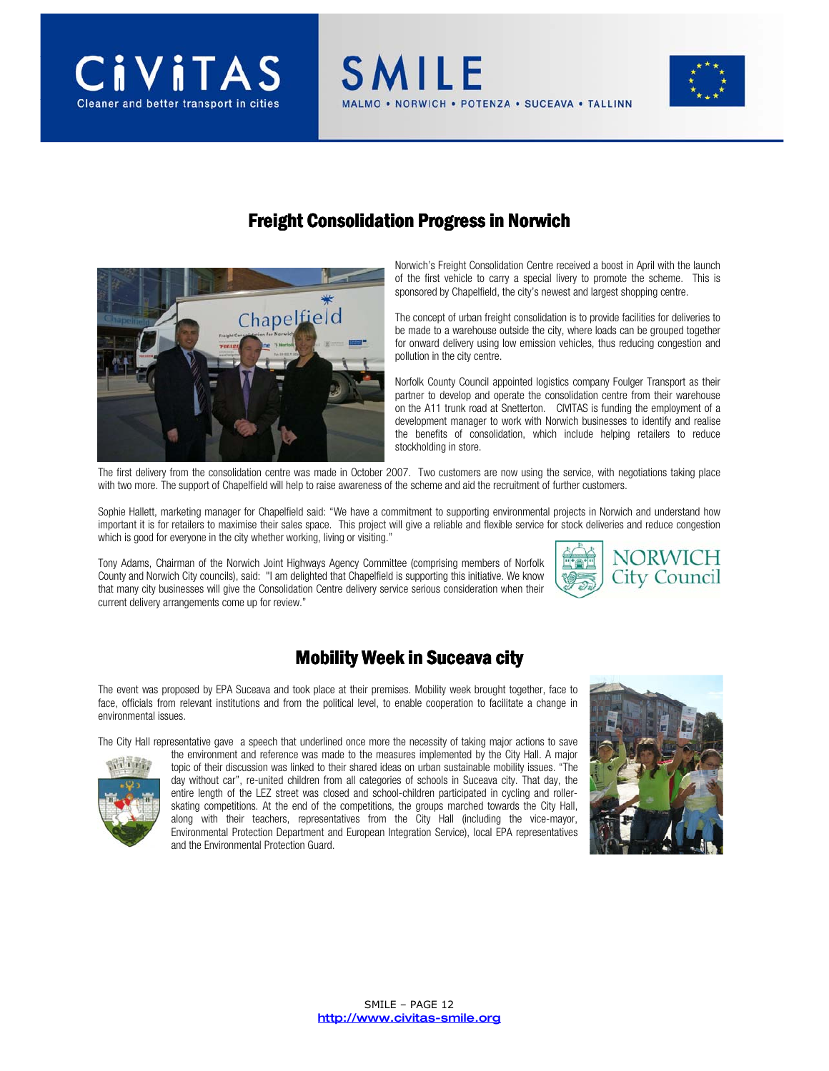



### **Freight Consolidation Progress in Norwich**

**SMILE** 



Norwich's Freight Consolidation Centre received a boost in April with the launch of the first vehicle to carry a special livery to promote the scheme. This is sponsored by Chapelfield, the city's newest and largest shopping centre.

The concept of urban freight consolidation is to provide facilities for deliveries to be made to a warehouse outside the city, where loads can be grouped together for onward delivery using low emission vehicles, thus reducing congestion and pollution in the city centre.

Norfolk County Council appointed logistics company Foulger Transport as their partner to develop and operate the consolidation centre from their warehouse on the A11 trunk road at Snetterton. CIVITAS is funding the employment of a development manager to work with Norwich businesses to identify and realise the benefits of consolidation, which include helping retailers to reduce stockholding in store.

The first delivery from the consolidation centre was made in October 2007. Two customers are now using the service, with negotiations taking place with two more. The support of Chapelfield will help to raise awareness of the scheme and aid the recruitment of further customers.

Sophie Hallett, marketing manager for Chapelfield said: "We have a commitment to supporting environmental projects in Norwich and understand how important it is for retailers to maximise their sales space. This project will give a reliable and flexible service for stock deliveries and reduce congestion which is good for everyone in the city whether working, living or visiting."

Tony Adams, Chairman of the Norwich Joint Highways Agency Committee (comprising members of Norfolk County and Norwich City councils), said: "I am delighted that Chapelfield is supporting this initiative. We know that many city businesses will give the Consolidation Centre delivery service serious consideration when their current delivery arrangements come up for review."

## **Mobility Week in Suceava city**

The event was proposed by EPA Suceava and took place at their premises. Mobility week brought together, face to face, officials from relevant institutions and from the political level, to enable cooperation to facilitate a change in environmental issues.

The City Hall representative gave a speech that underlined once more the necessity of taking major actions to save



the environment and reference was made to the measures implemented by the City Hall. A major topic of their discussion was linked to their shared ideas on urban sustainable mobility issues. "The day without car", re-united children from all categories of schools in Suceava city. That day, the entire length of the LEZ street was closed and school-children participated in cycling and rollerskating competitions. At the end of the competitions, the groups marched towards the City Hall, along with their teachers, representatives from the City Hall (including the vice-mayor, Environmental Protection Department and European Integration Service), local EPA representatives and the Environmental Protection Guard.



NORWICH City Council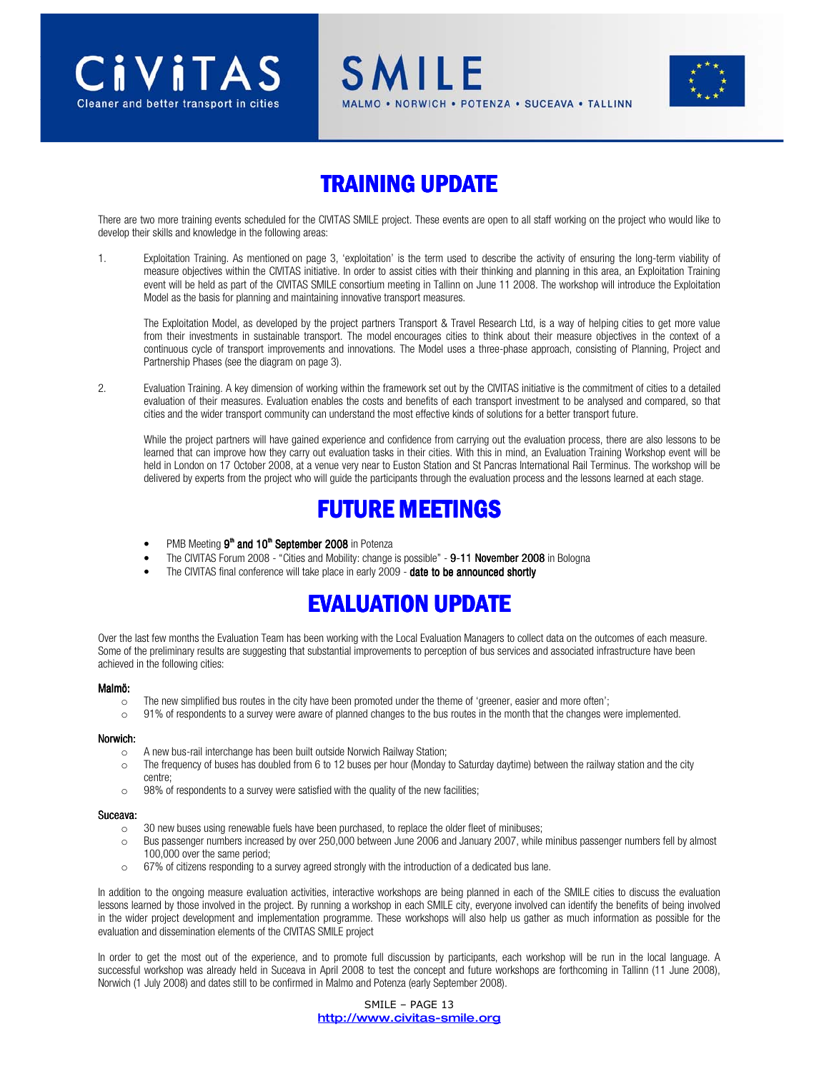

# **TRAINING UPDATE**

SMILF

**JORWICH • POTENZA • SUCEAVA • TALLINN** 

There are two more training events scheduled for the CIVITAS SMILE project. These events are open to all staff working on the project who would like to develop their skills and knowledge in the following areas:

1. Exploitation Training. As mentioned on page 3, 'exploitation' is the term used to describe the activity of ensuring the long-term viability of measure objectives within the CIVITAS initiative. In order to assist cities with their thinking and planning in this area, an Exploitation Training event will be held as part of the CIVITAS SMILE consortium meeting in Tallinn on June 11 2008. The workshop will introduce the Exploitation Model as the basis for planning and maintaining innovative transport measures.

The Exploitation Model, as developed by the project partners Transport & Travel Research Ltd, is a way of helping cities to get more value from their investments in sustainable transport. The model encourages cities to think about their measure objectives in the context of a continuous cycle of transport improvements and innovations. The Model uses a three-phase approach, consisting of Planning, Project and Partnership Phases (see the diagram on page 3).

2. Evaluation Training. A key dimension of working within the framework set out by the CIVITAS initiative is the commitment of cities to a detailed evaluation of their measures. Evaluation enables the costs and benefits of each transport investment to be analysed and compared, so that cities and the wider transport community can understand the most effective kinds of solutions for a better transport future.

While the project partners will have gained experience and confidence from carrying out the evaluation process, there are also lessons to be learned that can improve how they carry out evaluation tasks in their cities. With this in mind, an Evaluation Training Workshop event will be held in London on 17 October 2008, at a venue very near to Euston Station and St Pancras International Rail Terminus. The workshop will be delivered by experts from the project who will guide the participants through the evaluation process and the lessons learned at each stage.

# **FUTURE MEETINGS**

- $\bullet$  PMB Meeting  $9^{\text{th}}$  and  $10^{\text{th}}$  September 2008 in Potenza
- The CIVITAS Forum 2008 "Cities and Mobility: change is possible" 9-11 November 2008 in Bologna
- The CIVITAS final conference will take place in early 2009 date to be announced shortly

# EVALUATION UPDATE

Over the last few months the Evaluation Team has been working with the Local Evaluation Managers to collect data on the outcomes of each measure. Some of the preliminary results are suggesting that substantial improvements to perception of bus services and associated infrastructure have been achieved in the following cities:

#### Malmö:

- $\circ$  The new simplified bus routes in the city have been promoted under the theme of 'greener, easier and more often';
- o 91% of respondents to a survey were aware of planned changes to the bus routes in the month that the changes were implemented.

#### Norwich:

o A new bus-rail interchange has been built outside Norwich Railway Station;

- $\circ$  The frequency of buses has doubled from 6 to 12 buses per hour (Monday to Saturday daytime) between the railway station and the city centre;
- o 98% of respondents to a survey were satisfied with the quality of the new facilities;

#### Suceava: Suceava:

- o 30 new buses using renewable fuels have been purchased, to replace the older fleet of minibuses;
- o Bus passenger numbers increased by over 250,000 between June 2006 and January 2007, while minibus passenger numbers fell by almost 100,000 over the same period;
- o 67% of citizens responding to a survey agreed strongly with the introduction of a dedicated bus lane.

In addition to the ongoing measure evaluation activities, interactive workshops are being planned in each of the SMILE cities to discuss the evaluation lessons learned by those involved in the project. By running a workshop in each SMILE city, everyone involved can identify the benefits of being involved in the wider project development and implementation programme. These workshops will also help us gather as much information as possible for the evaluation and dissemination elements of the CIVITAS SMILE project

In order to get the most out of the experience, and to promote full discussion by participants, each workshop will be run in the local language. A successful workshop was already held in Suceava in April 2008 to test the concept and future workshops are forthcoming in Tallinn (11 June 2008), Norwich (1 July 2008) and dates still to be confirmed in Malmo and Potenza (early September 2008).

> SMILE – PAGE 13 http://www.civitas-smile.org